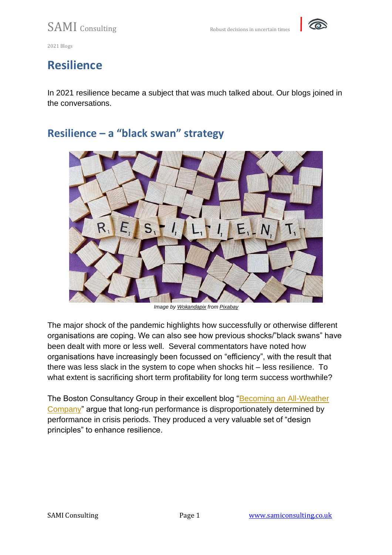

## **Resilience**

In 2021 resilience became a subject that was much talked about. Our blogs joined in the conversations.

### **Resilience – a "black swan" strategy**



*Image by [Wokandapix](https://pixabay.com/users/wokandapix-614097/?utm_source=link-attribution&utm_medium=referral&utm_campaign=image&utm_content=4899506) from [Pixabay](https://pixabay.com/?utm_source=link-attribution&utm_medium=referral&utm_campaign=image&utm_content=4899506)*

The major shock of the pandemic highlights how successfully or otherwise different organisations are coping. We can also see how previous shocks/"black swans" have been dealt with more or less well. Several commentators have noted how organisations have increasingly been focussed on "efficiency", with the result that there was less slack in the system to cope when shocks hit – less resilience. To what extent is sacrificing short term profitability for long term success worthwhile?

The Boston Consultancy Group in their excellent blog ["Becoming an All-Weather](https://www.bcg.com/fr-ca/publications/2020/how-to-become-an-all-weather-resilient-company)  [Company"](https://www.bcg.com/fr-ca/publications/2020/how-to-become-an-all-weather-resilient-company) argue that long-run performance is disproportionately determined by performance in crisis periods. They produced a very valuable set of "design principles" to enhance resilience.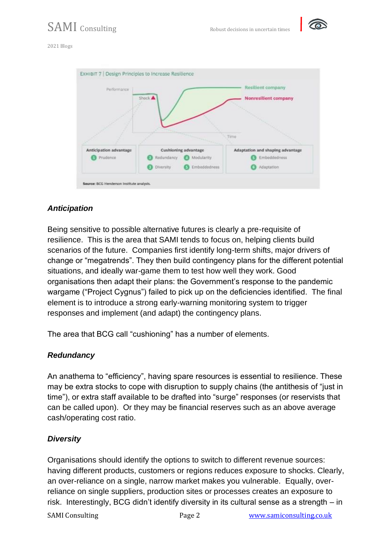

#### 2021 Blogs



#### *Anticipation*

Being sensitive to possible alternative futures is clearly a pre-requisite of resilience. This is the area that SAMI tends to focus on, helping clients build scenarios of the future. Companies first identify long-term shifts, major drivers of change or "megatrends". They then build contingency plans for the different potential situations, and ideally war-game them to test how well they work. Good organisations then adapt their plans: the Government's response to the pandemic wargame ("Project Cygnus") failed to pick up on the deficiencies identified. The final element is to introduce a strong early-warning monitoring system to trigger responses and implement (and adapt) the contingency plans.

The area that BCG call "cushioning" has a number of elements.

#### *Redundancy*

An anathema to "efficiency", having spare resources is essential to resilience. These may be extra stocks to cope with disruption to supply chains (the antithesis of "just in time"), or extra staff available to be drafted into "surge" responses (or reservists that can be called upon). Or they may be financial reserves such as an above average cash/operating cost ratio.

#### *Diversity*

Organisations should identify the options to switch to different revenue sources: having different products, customers or regions reduces exposure to shocks. Clearly, an over-reliance on a single, narrow market makes you vulnerable. Equally, overreliance on single suppliers, production sites or processes creates an exposure to risk. Interestingly, BCG didn't identify diversity in its cultural sense as a strength – in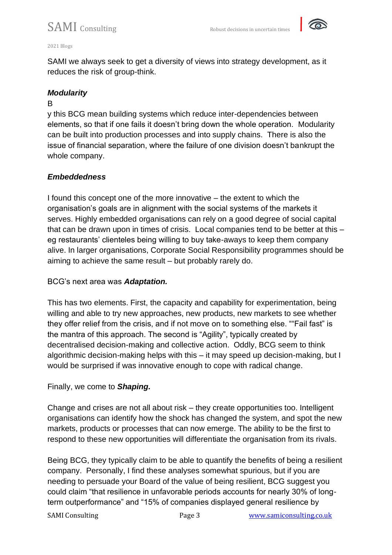

#### 2021 Blogs

SAMI we always seek to get a diversity of views into strategy development, as it reduces the risk of group-think.

#### *Modularity*

#### B

y this BCG mean building systems which reduce inter-dependencies between elements, so that if one fails it doesn't bring down the whole operation. Modularity can be built into production processes and into supply chains. There is also the issue of financial separation, where the failure of one division doesn't bankrupt the whole company.

#### *Embeddedness*

I found this concept one of the more innovative – the extent to which the organisation's goals are in alignment with the social systems of the markets it serves. Highly embedded organisations can rely on a good degree of social capital that can be drawn upon in times of crisis. Local companies tend to be better at this – eg restaurants' clienteles being willing to buy take-aways to keep them company alive. In larger organisations, Corporate Social Responsibility programmes should be aiming to achieve the same result – but probably rarely do.

#### BCG's next area was *Adaptation.*

This has two elements. First, the capacity and capability for experimentation, being willing and able to try new approaches, new products, new markets to see whether they offer relief from the crisis, and if not move on to something else. ""Fail fast" is the mantra of this approach. The second is "Agility", typically created by decentralised decision-making and collective action. Oddly, BCG seem to think algorithmic decision-making helps with this – it may speed up decision-making, but I would be surprised if was innovative enough to cope with radical change.

#### Finally, we come to *Shaping.*

Change and crises are not all about risk – they create opportunities too. Intelligent organisations can identify how the shock has changed the system, and spot the new markets, products or processes that can now emerge. The ability to be the first to respond to these new opportunities will differentiate the organisation from its rivals.

Being BCG, they typically claim to be able to quantify the benefits of being a resilient company. Personally, I find these analyses somewhat spurious, but if you are needing to persuade your Board of the value of being resilient, BCG suggest you could claim "that resilience in unfavorable periods accounts for nearly 30% of longterm outperformance" and "15% of companies displayed general resilience by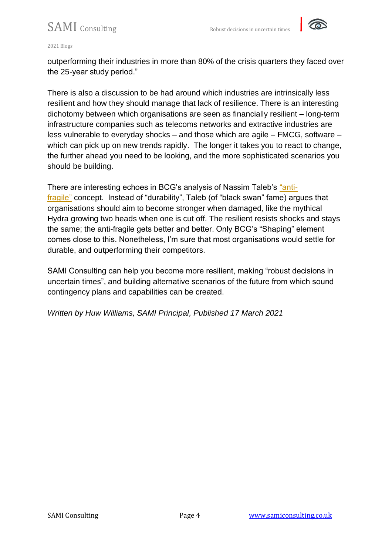

#### 2021 Blogs

outperforming their industries in more than 80% of the crisis quarters they faced over the 25-year study period."

There is also a discussion to be had around which industries are intrinsically less resilient and how they should manage that lack of resilience. There is an interesting dichotomy between which organisations are seen as financially resilient – long-term infrastructure companies such as telecoms networks and extractive industries are less vulnerable to everyday shocks – and those which are agile – FMCG, software – which can pick up on new trends rapidly. The longer it takes you to react to change, the further ahead you need to be looking, and the more sophisticated scenarios you should be building.

There are interesting echoes in BCG's analysis of Nassim Taleb's ["anti](https://www.amazon.co.uk/Antifragile-Things-that-Gain-Disorder/dp/0141038225)[fragile"](https://www.amazon.co.uk/Antifragile-Things-that-Gain-Disorder/dp/0141038225) concept. Instead of "durability", Taleb (of "black swan" fame) argues that organisations should aim to become stronger when damaged, like the mythical Hydra growing two heads when one is cut off. The resilient resists shocks and stays the same; the anti-fragile gets better and better. Only BCG's "Shaping" element comes close to this. Nonetheless, I'm sure that most organisations would settle for durable, and outperforming their competitors.

SAMI Consulting can help you become more resilient, making "robust decisions in uncertain times", and building alternative scenarios of the future from which sound contingency plans and capabilities can be created.

*Written by Huw Williams, SAMI Principal, Published 17 March 2021*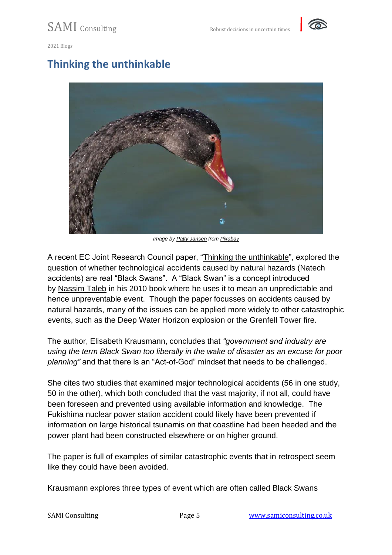

## **Thinking the unthinkable**



*Image by [Patty Jansen](https://pixabay.com/users/pattyjansen-154933/?utm_source=link-attribution&utm_medium=referral&utm_campaign=image&utm_content=324709) from [Pixabay](https://pixabay.com/?utm_source=link-attribution&utm_medium=referral&utm_campaign=image&utm_content=324709)*

A recent EC Joint Research Council paper, ["Thinking the unthinkable"](https://www.sciencedirect.com/science/article/pii/S0925753521001004#b0630), explored the question of whether technological accidents caused by natural hazards (Natech accidents) are real "Black Swans". A "Black Swan" is a concept introduced by [Nassim Taleb](https://www.amazon.co.uk/Black-Swan-Impact-Highly-Improbable/dp/0141034599) in his 2010 book where he uses it to mean an unpredictable and hence unpreventable event. Though the paper focusses on accidents caused by natural hazards, many of the issues can be applied more widely to other catastrophic events, such as the Deep Water Horizon explosion or the Grenfell Tower fire.

The author, Elisabeth Krausmann, concludes that *"government and industry are using the term Black Swan too liberally in the wake of disaster as an excuse for poor planning"* and that there is an "Act-of-God" mindset that needs to be challenged.

She cites two studies that examined major technological accidents (56 in one study, 50 in the other), which both concluded that the vast majority, if not all, could have been foreseen and prevented using available information and knowledge. The Fukishima nuclear power station accident could likely have been prevented if information on large historical tsunamis on that coastline had been heeded and the power plant had been constructed elsewhere or on higher ground.

The paper is full of examples of similar catastrophic events that in retrospect seem like they could have been avoided.

Krausmann explores three types of event which are often called Black Swans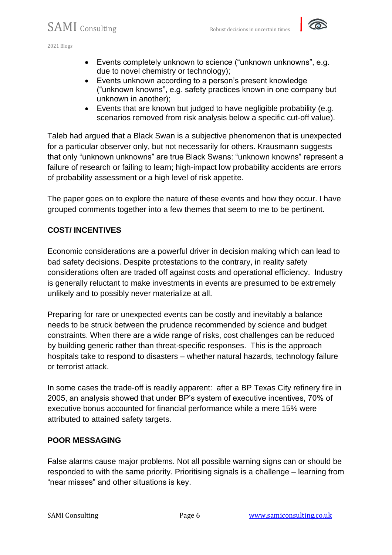- Events completely unknown to science ("unknown unknowns", e.g. due to novel chemistry or technology);
- Events unknown according to a person's present knowledge ("unknown knowns", e.g. safety practices known in one company but unknown in another);
- Events that are known but judged to have negligible probability (e.g. scenarios removed from risk analysis below a specific cut-off value).

Taleb had argued that a Black Swan is a subjective phenomenon that is unexpected for a particular observer only, but not necessarily for others. Krausmann suggests that only "unknown unknowns" are true Black Swans: "unknown knowns" represent a failure of research or failing to learn; high-impact low probability accidents are errors of probability assessment or a high level of risk appetite.

The paper goes on to explore the nature of these events and how they occur. I have grouped comments together into a few themes that seem to me to be pertinent.

### **COST/ INCENTIVES**

Economic considerations are a powerful driver in decision making which can lead to bad safety decisions. Despite protestations to the contrary, in reality safety considerations often are traded off against costs and operational efficiency. Industry is generally reluctant to make investments in events are presumed to be extremely unlikely and to possibly never materialize at all.

Preparing for rare or unexpected events can be costly and inevitably a balance needs to be struck between the prudence recommended by science and budget constraints. When there are a wide range of risks, cost challenges can be reduced by building generic rather than threat-specific responses. This is the approach hospitals take to respond to disasters – whether natural hazards, technology failure or terrorist attack.

In some cases the trade-off is readily apparent: after a BP Texas City refinery fire in 2005, an analysis showed that under BP's system of executive incentives, 70% of executive bonus accounted for financial performance while a mere 15% were attributed to attained safety targets.

### **POOR MESSAGING**

False alarms cause major problems. Not all possible warning signs can or should be responded to with the same priority. Prioritising signals is a challenge – learning from "near misses" and other situations is key.

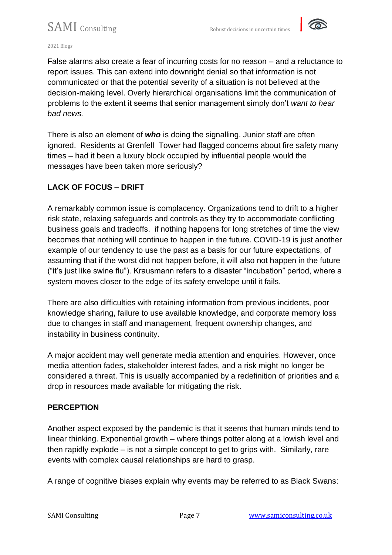

#### 2021 Blogs

False alarms also create a fear of incurring costs for no reason – and a reluctance to report issues. This can extend into downright denial so that information is not communicated or that the potential severity of a situation is not believed at the decision-making level. Overly hierarchical organisations limit the communication of problems to the extent it seems that senior management simply don't *want to hear bad news.*

There is also an element of *who* is doing the signalling. Junior staff are often ignored. Residents at Grenfell Tower had flagged concerns about fire safety many times – had it been a luxury block occupied by influential people would the messages have been taken more seriously?

### **LACK OF FOCUS – DRIFT**

A remarkably common issue is complacency. Organizations tend to drift to a higher risk state, relaxing safeguards and controls as they try to accommodate conflicting business goals and tradeoffs. if nothing happens for long stretches of time the view becomes that nothing will continue to happen in the future. COVID-19 is just another example of our tendency to use the past as a basis for our future expectations, of assuming that if the worst did not happen before, it will also not happen in the future ("it's just like swine flu"). Krausmann refers to a disaster "incubation" period, where a system moves closer to the edge of its safety envelope until it fails.

There are also difficulties with retaining information from previous incidents, poor knowledge sharing, failure to use available knowledge, and corporate memory loss due to changes in staff and management, frequent ownership changes, and instability in business continuity.

A major accident may well generate media attention and enquiries. However, once media attention fades, stakeholder interest fades, and a risk might no longer be considered a threat. This is usually accompanied by a redefinition of priorities and a drop in resources made available for mitigating the risk.

### **PERCEPTION**

Another aspect exposed by the pandemic is that it seems that human minds tend to linear thinking. Exponential growth – where things potter along at a lowish level and then rapidly explode – is not a simple concept to get to grips with. Similarly, rare events with complex causal relationships are hard to grasp.

A range of cognitive biases explain why events may be referred to as Black Swans: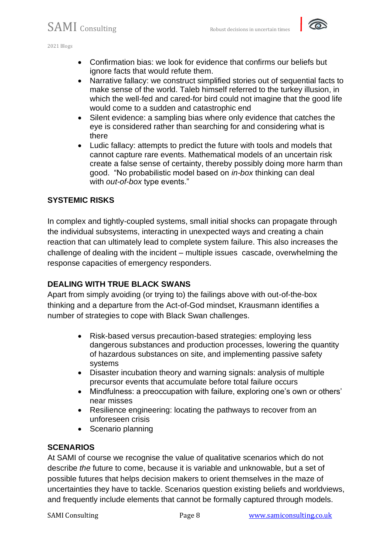

- Confirmation bias: we look for evidence that confirms our beliefs but ignore facts that would refute them.
- Narrative fallacy: we construct simplified stories out of sequential facts to make sense of the world. Taleb himself referred to the turkey illusion, in which the well-fed and cared-for bird could not imagine that the good life would come to a sudden and catastrophic end
- Silent evidence: a sampling bias where only evidence that catches the eye is considered rather than searching for and considering what is there
- Ludic fallacy: attempts to predict the future with tools and models that cannot capture rare events. Mathematical models of an uncertain risk create a false sense of certainty, thereby possibly doing more harm than good. "No probabilistic model based on *in-box* thinking can deal with *out-of-box* type events."

### **SYSTEMIC RISKS**

In complex and tightly-coupled systems, small initial shocks can propagate through the individual subsystems, interacting in unexpected ways and creating a chain reaction that can ultimately lead to complete system failure. This also increases the challenge of dealing with the incident – multiple issues cascade, overwhelming the response capacities of emergency responders.

### **DEALING WITH TRUE BLACK SWANS**

Apart from simply avoiding (or trying to) the failings above with out-of-the-box thinking and a departure from the Act-of-God mindset, Krausmann identifies a number of strategies to cope with Black Swan challenges.

- Risk-based versus precaution-based strategies: employing less dangerous substances and production processes, lowering the quantity of hazardous substances on site, and implementing passive safety systems
- Disaster incubation theory and warning signals: analysis of multiple precursor events that accumulate before total failure occurs
- Mindfulness: a preoccupation with failure, exploring one's own or others' near misses
- Resilience engineering: locating the pathways to recover from an unforeseen crisis
- Scenario planning

### **SCENARIOS**

At SAMI of course we recognise the value of qualitative scenarios which do not describe *the* future to come, because it is variable and unknowable, but a set of possible futures that helps decision makers to orient themselves in the maze of uncertainties they have to tackle. Scenarios question existing beliefs and worldviews, and frequently include elements that cannot be formally captured through models.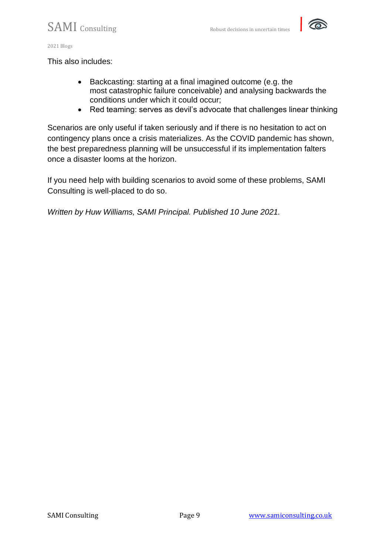

This also includes:

- Backcasting: starting at a final imagined outcome (e.g. the most catastrophic failure conceivable) and analysing backwards the conditions under which it could occur;
- Red teaming: serves as devil's advocate that challenges linear thinking

Scenarios are only useful if taken seriously and if there is no hesitation to act on contingency plans once a crisis materializes. As the COVID pandemic has shown, the best preparedness planning will be unsuccessful if its implementation falters once a disaster looms at the horizon.

If you need help with building scenarios to avoid some of these problems, SAMI Consulting is well-placed to do so.

*Written by Huw Williams, SAMI Principal. Published 10 June 2021.*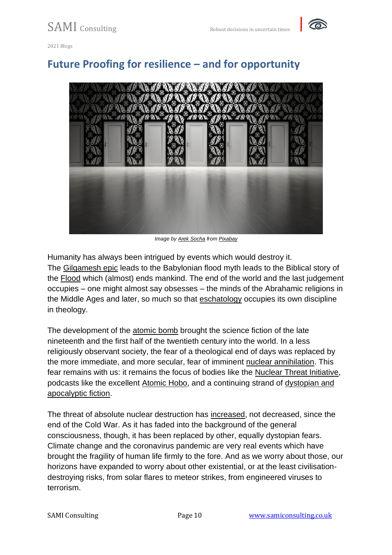

## **Future Proofing for resilience – and for opportunity**



*Image by [Arek Socha](https://pixabay.com/users/qimono-1962238/?utm_source=link-attribution&utm_medium=referral&utm_campaign=image&utm_content=1767559) from [Pixabay](https://pixabay.com/?utm_source=link-attribution&utm_medium=referral&utm_campaign=image&utm_content=1767559)*

Humanity has always been intrigued by events which would destroy it. The [Gilgamesh epic](http://www.ancienttexts.org/library/mesopotamian/gilgamesh/) leads to the Babylonian flood myth leads to the Biblical story of the [Flood](https://www.kingjamesbibleonline.org/Bible-Verses-About-Floods/) which (almost) ends mankind. The end of the world and the last judgement occupies – one might almost say obsesses – the minds of the Abrahamic religions in the Middle Ages and later, so much so that [eschatology](https://www.britannica.com/topic/eschatology) occupies its own discipline in theology.

The development of the [atomic bomb](https://nsarchive.gwu.edu/briefing-book/nuclear-vault/2020-08-04/atomic-bomb-end-world-war-ii) brought the science fiction of the late nineteenth and the first half of the twentieth century into the world. In a less religiously observant society, the fear of a theological end of days was replaced by the more immediate, and more secular, fear of imminent [nuclear annihilation.](https://www.nytimes.com/2018/05/13/us/nuclear-threat-retro-report.html) This fear remains with us: it remains the focus of bodies like the [Nuclear Threat Initiative,](https://www.nti.org/about/) podcasts like the excellent [Atomic Hobo,](https://soundcloud.com/user-494087291) and a continuing strand of [dystopian and](https://www.goodreads.com/shelf/show/nuclear-war)  [apocalyptic fiction.](https://www.goodreads.com/shelf/show/nuclear-war)

The threat of absolute nuclear destruction has [increased,](https://www.nbcnews.com/think/opinion/risk-nuclear-attack-back-historic-levels-75-years-after-hiroshima-ncna1235925) not decreased, since the end of the Cold War. As it has faded into the background of the general consciousness, though, it has been replaced by other, equally dystopian fears. Climate change and the coronavirus pandemic are very real events which have brought the fragility of human life firmly to the fore. And as we worry about those, our horizons have expanded to worry about other existential, or at the least civilisationdestroying risks, from solar flares to meteor strikes, from engineered viruses to terrorism.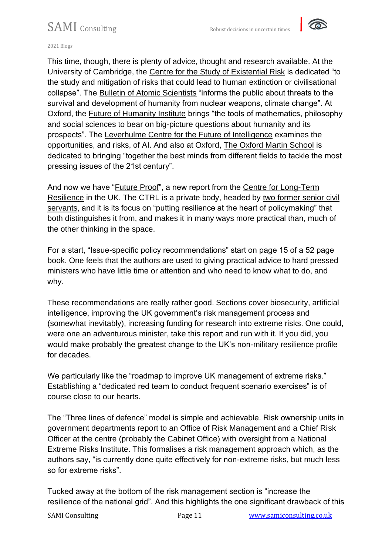

2021 Blogs

This time, though, there is plenty of advice, thought and research available. At the University of Cambridge, the [Centre for the Study of Existential Risk](https://www.cser.ac.uk/) is dedicated "to the study and mitigation of risks that could lead to human extinction or civilisational collapse". The [Bulletin of Atomic Scientists](https://thebulletin.org/) "informs the public about threats to the survival and development of humanity from nuclear weapons, climate change". At Oxford, the [Future of Humanity Institute](https://www.fhi.ox.ac.uk/) brings "the tools of mathematics, philosophy and social sciences to bear on big-picture questions about humanity and its prospects". The [Leverhulme Centre for the Future of Intelligence](http://lcfi.ac.uk/) examines the opportunities, and risks, of AI. And also at Oxford, [The Oxford Martin School](https://www.oxfordmartin.ox.ac.uk/) is dedicated to bringing "together the best minds from different fields to tackle the most pressing issues of the 21st century".

And now we have ["Future Proof"](https://www.longtermresilience.org/futureproof), a new report from the [Centre for Long-Term](https://www.longtermresilience.org/)  [Resilience](https://www.longtermresilience.org/) in the UK. The CTRL is a private body, headed by [two former senior civil](https://www.longtermresilience.org/team)  [servants,](https://www.longtermresilience.org/team) and it is its focus on "putting resilience at the heart of policymaking" that both distinguishes it from, and makes it in many ways more practical than, much of the other thinking in the space.

For a start, "Issue-specific policy recommendations" start on page 15 of a 52 page book. One feels that the authors are used to giving practical advice to hard pressed ministers who have little time or attention and who need to know what to do, and why.

These recommendations are really rather good. Sections cover biosecurity, artificial intelligence, improving the UK government's risk management process and (somewhat inevitably), increasing funding for research into extreme risks. One could, were one an adventurous minister, take this report and run with it. If you did, you would make probably the greatest change to the UK's non-military resilience profile for decades.

We particularly like the "roadmap to improve UK management of extreme risks." Establishing a "dedicated red team to conduct frequent scenario exercises" is of course close to our hearts.

The "Three lines of defence" model is simple and achievable. Risk ownership units in government departments report to an Office of Risk Management and a Chief Risk Officer at the centre (probably the Cabinet Office) with oversight from a National Extreme Risks Institute. This formalises a risk management approach which, as the authors say, "is currently done quite effectively for non-extreme risks, but much less so for extreme risks".

Tucked away at the bottom of the risk management section is "increase the resilience of the national grid". And this highlights the one significant drawback of this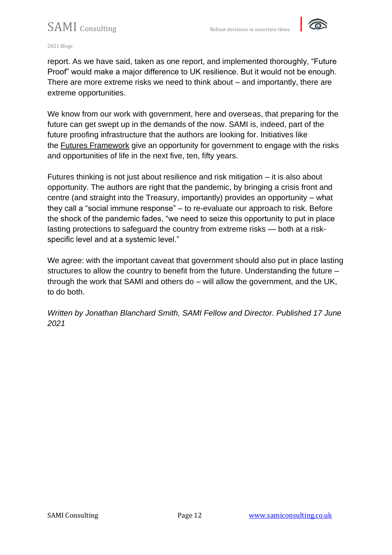

#### 2021 Blogs

report. As we have said, taken as one report, and implemented thoroughly, "Future Proof" would make a major difference to UK resilience. But it would not be enough. There are more extreme risks we need to think about – and importantly, there are extreme opportunities.

We know from our work with government, here and overseas, that preparing for the future can get swept up in the demands of the now. SAMI is, indeed, part of the future proofing infrastructure that the authors are looking for. Initiatives like the [Futures Framework](https://www.gov.uk/guidance/futures-procurement-framework) give an opportunity for government to engage with the risks and opportunities of life in the next five, ten, fifty years.

Futures thinking is not just about resilience and risk mitigation – it is also about opportunity. The authors are right that the pandemic, by bringing a crisis front and centre (and straight into the Treasury, importantly) provides an opportunity – what they call a "social immune response" – to re-evaluate our approach to risk. Before the shock of the pandemic fades, "we need to seize this opportunity to put in place lasting protections to safeguard the country from extreme risks — both at a riskspecific level and at a systemic level."

We agree: with the important caveat that government should also put in place lasting structures to allow the country to benefit from the future. Understanding the future – through the work that SAMI and others do – will allow the government, and the UK, to do both.

*Written by Jonathan Blanchard Smith, SAMI Fellow and Director. Published 17 June 2021*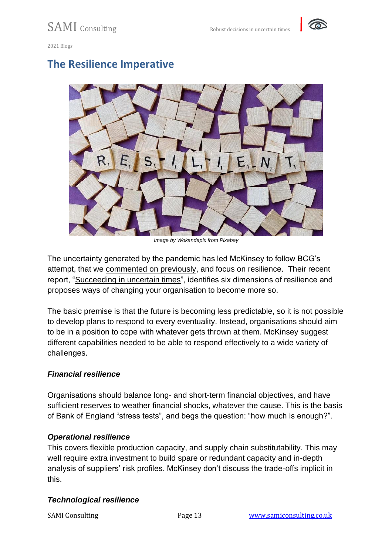



### **The Resilience Imperative**



*Image by [Wokandapix](https://pixabay.com/users/wokandapix-614097/?utm_source=link-attribution&utm_medium=referral&utm_campaign=image&utm_content=4899283) from [Pixabay](https://pixabay.com/?utm_source=link-attribution&utm_medium=referral&utm_campaign=image&utm_content=4899283)*

The uncertainty generated by the pandemic has led McKinsey to follow BCG's attempt, that we [commented on previously,](https://samiconsulting.co.uk/resilience-a-black-swan-strategy/) and focus on resilience. Their recent report, ["Succeeding in uncertain times"](https://www.mckinsey.com/business-functions/risk/our-insights/the-resilience-imperative-succeeding-in-uncertain-times?cid=other-eml-onp-mip-mck&hlkid=66606e861bc242ab873ee7644cb48575&hctky=1387381&hdpid=f619b3aa-c93e-47cf-9c48-35660cbebb2d), identifies six dimensions of resilience and proposes ways of changing your organisation to become more so.

The basic premise is that the future is becoming less predictable, so it is not possible to develop plans to respond to every eventuality. Instead, organisations should aim to be in a position to cope with whatever gets thrown at them. McKinsey suggest different capabilities needed to be able to respond effectively to a wide variety of challenges.

#### *Financial resilience*

Organisations should balance long- and short-term financial objectives, and have sufficient reserves to weather financial shocks, whatever the cause. This is the basis of Bank of England "stress tests", and begs the question: "how much is enough?".

#### *Operational resilience*

This covers flexible production capacity, and supply chain substitutability. This may well require extra investment to build spare or redundant capacity and in-depth analysis of suppliers' risk profiles. McKinsey don't discuss the trade-offs implicit in this.

### *Technological resilience*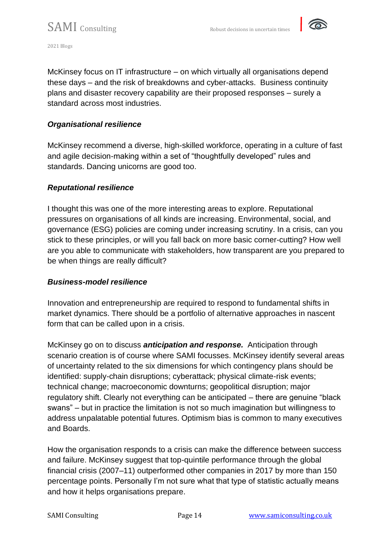

McKinsey focus on IT infrastructure – on which virtually all organisations depend these days – and the risk of breakdowns and cyber-attacks. Business continuity plans and disaster recovery capability are their proposed responses – surely a standard across most industries.

#### *Organisational resilience*

McKinsey recommend a diverse, high-skilled workforce, operating in a culture of fast and agile decision-making within a set of "thoughtfully developed" rules and standards. Dancing unicorns are good too.

#### *Reputational resilience*

I thought this was one of the more interesting areas to explore. Reputational pressures on organisations of all kinds are increasing. Environmental, social, and governance (ESG) policies are coming under increasing scrutiny. In a crisis, can you stick to these principles, or will you fall back on more basic corner-cutting? How well are you able to communicate with stakeholders, how transparent are you prepared to be when things are really difficult?

#### *Business-model resilience*

Innovation and entrepreneurship are required to respond to fundamental shifts in market dynamics. There should be a portfolio of alternative approaches in nascent form that can be called upon in a crisis.

McKinsey go on to discuss *anticipation and response.* Anticipation through scenario creation is of course where SAMI focusses. McKinsey identify several areas of uncertainty related to the six dimensions for which contingency plans should be identified: supply-chain disruptions; cyberattack; physical climate-risk events; technical change; macroeconomic downturns; geopolitical disruption; major regulatory shift. Clearly not everything can be anticipated – there are genuine "black swans" – but in practice the limitation is not so much imagination but willingness to address unpalatable potential futures. Optimism bias is common to many executives and Boards.

How the organisation responds to a crisis can make the difference between success and failure. McKinsey suggest that top-quintile performance through the global financial crisis (2007–11) outperformed other companies in 2017 by more than 150 percentage points. Personally I'm not sure what that type of statistic actually means and how it helps organisations prepare.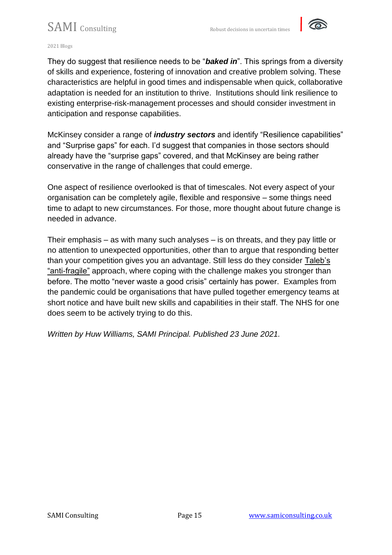

#### 2021 Blogs

They do suggest that resilience needs to be "*baked in*". This springs from a diversity of skills and experience, fostering of innovation and creative problem solving. These characteristics are helpful in good times and indispensable when quick, collaborative adaptation is needed for an institution to thrive. Institutions should link resilience to existing enterprise-risk-management processes and should consider investment in anticipation and response capabilities.

McKinsey consider a range of *industry sectors* and identify "Resilience capabilities" and "Surprise gaps" for each. I'd suggest that companies in those sectors should already have the "surprise gaps" covered, and that McKinsey are being rather conservative in the range of challenges that could emerge.

One aspect of resilience overlooked is that of timescales. Not every aspect of your organisation can be completely agile, flexible and responsive – some things need time to adapt to new circumstances. For those, more thought about future change is needed in advance.

Their emphasis – as with many such analyses – is on threats, and they pay little or no attention to unexpected opportunities, other than to argue that responding better than your competition gives you an advantage. Still less do they consider [Taleb's](https://www.amazon.co.uk/Antifragile-Things-that-Gain-Disorder/dp/0141038225)  ["anti-fragile"](https://www.amazon.co.uk/Antifragile-Things-that-Gain-Disorder/dp/0141038225) approach, where coping with the challenge makes you stronger than before. The motto "never waste a good crisis" certainly has power. Examples from the pandemic could be organisations that have pulled together emergency teams at short notice and have built new skills and capabilities in their staff. The NHS for one does seem to be actively trying to do this.

*Written by Huw Williams, SAMI Principal. Published 23 June 2021.*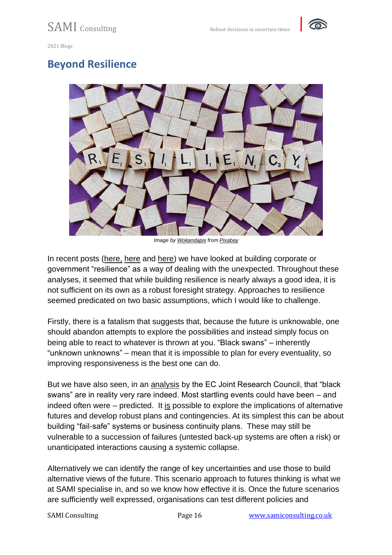

### **Beyond Resilience**



*Image by [Wokandapix](https://pixabay.com/users/wokandapix-614097/?utm_source=link-attribution&utm_medium=referral&utm_campaign=image&utm_content=4899283) from [Pixabay](https://pixabay.com/?utm_source=link-attribution&utm_medium=referral&utm_campaign=image&utm_content=4899283)*

In recent posts [\(here,](https://samiconsulting.co.uk/the-resilience-imperative/) [here](https://samiconsulting.co.uk/future-proofing-for-resilience-and-for-opportunity/) and [here\)](https://samiconsulting.co.uk/resilience-a-black-swan-strategy/) we have looked at building corporate or government "resilience" as a way of dealing with the unexpected. Throughout these analyses, it seemed that while building resilience is nearly always a good idea, it is not sufficient on its own as a robust foresight strategy. Approaches to resilience seemed predicated on two basic assumptions, which I would like to challenge.

Firstly, there is a fatalism that suggests that, because the future is unknowable, one should abandon attempts to explore the possibilities and instead simply focus on being able to react to whatever is thrown at you. "Black swans" – inherently "unknown unknowns" – mean that it is impossible to plan for every eventuality, so improving responsiveness is the best one can do.

But we have also seen, in an [analysis](https://samiconsulting.co.uk/thinking-the-unthinkable/) by the EC Joint Research Council, that "black swans" are in reality very rare indeed. Most startling events could have been – and indeed often were – predicted. It is possible to explore the implications of alternative futures and develop robust plans and contingencies. At its simplest this can be about building "fail-safe" systems or business continuity plans. These may still be vulnerable to a succession of failures (untested back-up systems are often a risk) or unanticipated interactions causing a systemic collapse.

Alternatively we can identify the range of key uncertainties and use those to build alternative views of the future. This scenario approach to futures thinking is what we at SAMI specialise in, and so we know how effective it is. Once the future scenarios are sufficiently well expressed, organisations can test different policies and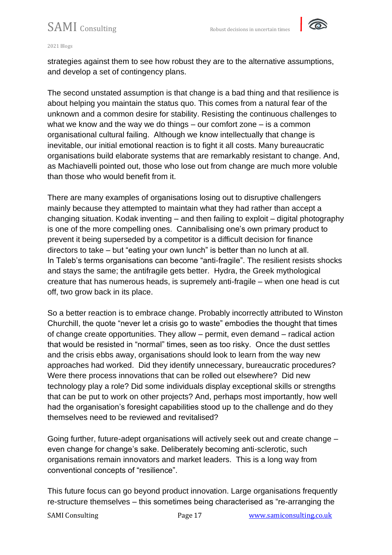

#### 2021 Blogs

strategies against them to see how robust they are to the alternative assumptions, and develop a set of contingency plans.

The second unstated assumption is that change is a bad thing and that resilience is about helping you maintain the status quo. This comes from a natural fear of the unknown and a common desire for stability. Resisting the continuous challenges to what we know and the way we do things – our comfort zone – is a common organisational cultural failing. Although we know intellectually that change is inevitable, our initial emotional reaction is to fight it all costs. Many bureaucratic organisations build elaborate systems that are remarkably resistant to change. And, as Machiavelli pointed out, those who lose out from change are much more voluble than those who would benefit from it.

There are many examples of organisations losing out to disruptive challengers mainly because they attempted to maintain what they had rather than accept a changing situation. Kodak inventing – and then failing to exploit – digital photography is one of the more compelling ones. Cannibalising one's own primary product to prevent it being superseded by a competitor is a difficult decision for finance directors to take – but "eating your own lunch" is better than no lunch at all. In Taleb's terms organisations can become "anti-fragile". The resilient resists shocks and stays the same; the antifragile gets better. Hydra, the Greek mythological creature that has numerous heads, is supremely anti-fragile – when one head is cut off, two grow back in its place.

So a better reaction is to embrace change. Probably incorrectly attributed to Winston Churchill, the quote "never let a crisis go to waste" embodies the thought that times of change create opportunities. They allow – permit, even demand – radical action that would be resisted in "normal" times, seen as too risky. Once the dust settles and the crisis ebbs away, organisations should look to learn from the way new approaches had worked. Did they identify unnecessary, bureaucratic procedures? Were there process innovations that can be rolled out elsewhere? Did new technology play a role? Did some individuals display exceptional skills or strengths that can be put to work on other projects? And, perhaps most importantly, how well had the organisation's foresight capabilities stood up to the challenge and do they themselves need to be reviewed and revitalised?

Going further, future-adept organisations will actively seek out and create change – even change for change's sake. Deliberately becoming anti-sclerotic, such organisations remain innovators and market leaders. This is a long way from conventional concepts of "resilience".

This future focus can go beyond product innovation. Large organisations frequently re-structure themselves – this sometimes being characterised as "re-arranging the